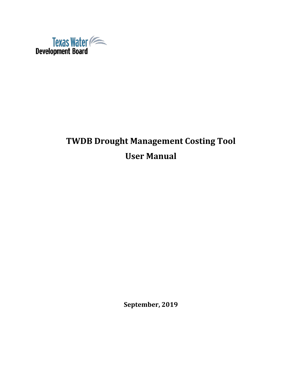

# **TWDB Drought Management Costing Tool User Manual**

**September, 2019**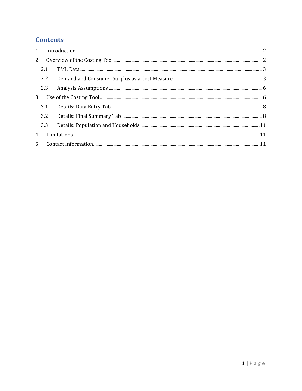# **Contents**

| $2^{\circ}$ |       |  |
|-------------|-------|--|
|             | 2.1   |  |
|             | 2.2   |  |
|             | 2.3   |  |
|             |       |  |
|             | 3.1   |  |
|             | 3.2   |  |
|             | 3.3   |  |
| 4           |       |  |
|             | $5 -$ |  |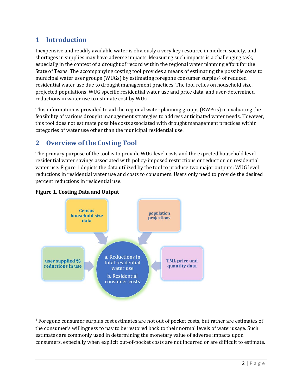# <span id="page-2-0"></span>**1 Introduction**

Inexpensive and readily available water is obviously a very key resource in modern society, and shortages in supplies may have adverse impacts. Measuring such impacts is a challenging task, especially in the context of a drought of record within the regional water planning effort for the State of Texas. The accompanying costing tool provides a means of estimating the possible costs to municipal water user groups (WUGs) by estimating foregone consumer surplus<sup>[1](#page-2-2)</sup> of reduced residential water use due to drought management practices. The tool relies on household size, projected populations, WUG specific residential water use and price data, and user-determined reductions in water use to estimate cost by WUG.

This information is provided to aid the regional water planning groups (RWPGs) in evaluating the feasibility of various drought management strategies to address anticipated water needs. However, this tool does not estimate possible costs associated with drought management practices within categories of water use other than the municipal residential use.

# <span id="page-2-1"></span>**2 Overview of the Costing Tool**

The primary purpose of the tool is to provide WUG level costs and the expected household level residential water savings associated with policy-imposed restrictions or reduction on residential water use. Figure 1 depicts the data utilized by the tool to produce two major outputs: WUG level reductions in residential water use and costs to consumers. Users only need to provide the desired percent reductions in residential use.



#### **Figure 1. Costing Data and Output**

<span id="page-2-2"></span> <sup>1</sup> Foregone consumer surplus cost estimates are not out of pocket costs, but rather are estimates of the consumer's willingness to pay to be restored back to their normal levels of water usage. Such estimates are commonly used in determining the monetary value of adverse impacts upon consumers, especially when explicit out-of-pocket costs are not incurred or are difficult to estimate.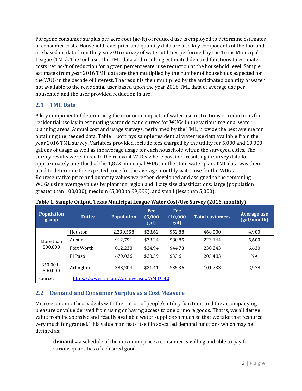Foregone consumer surplus per acre-foot (ac-ft) of reduced use is employed to determine estimates of consumer costs. Household level price and quantity data are also key components of the tool and are based on data from the year 2016 survey of water utilities performed by the Texas Municipal League (TML). The tool uses the TML data and resulting estimated demand functions to estimate costs per ac-ft of reduction for a given percent water use reduction at the household level. Sample estimates from year 2016 TML data are then multiplied by the number of households expected for the WUG in the decade of interest. The result is then multiplied by the anticipated quantity of water not available to the residential user based upon the year 2016 TML data of average use per household and the user provided reduction in use.

### <span id="page-3-0"></span>**2.1 TML Data**

A key component of determining the economic impacts of water use restrictions or reductions for residential use lay in estimating water demand curves for WUGs in the various regional water planning areas. Annual cost and usage surveys, performed by the TML, provide the best avenue for obtaining the needed data. Table 1 portrays sample residential water use data available from the year 2016 TML survey. Variables provided include fees charged by the utility for 5,000 and 10,000 gallons of usage as well as the average usage for each household within the surveyed cities. The survey results were linked to the relevant WUGs where possible, resulting in survey data for approximately one-third of the 1,872 municipal WUGs in the state water plan. TML data was then used to determine the expected price for the average monthly water use for the WUGs. Representative price and quantity values were then developed and assigned to the remaining WUGs using average values by planning region and 3 city size classifications: large (population greater than 100,000), medium (5,000 to 99,999), and small (less than 5,000).

| Population<br>group                 | <b>Entity</b>                            | <b>Population</b> | <b>Fee</b><br>(5,000)<br>gal) | <b>Fee</b><br>(10,000)<br>gal) | <b>Total customers</b> | . .<br>Average use<br>(gal/month) |  |  |  |  |  |  |
|-------------------------------------|------------------------------------------|-------------------|-------------------------------|--------------------------------|------------------------|-----------------------------------|--|--|--|--|--|--|
|                                     | Houston                                  | 2,239,558         | \$28.62                       | \$52.88                        | 468,000                | 4,900                             |  |  |  |  |  |  |
| More than                           | Austin                                   | 912,791           | \$38.24                       | \$80.85                        | 223,164                | 5,600                             |  |  |  |  |  |  |
| 500,000                             | Fort Worth                               | 812,238           | \$24.94                       | \$44.73                        | 238,243                | 6,630                             |  |  |  |  |  |  |
|                                     | El Paso                                  | 679,036           | \$20.59                       | \$33.61                        | 205,483                | <b>NA</b>                         |  |  |  |  |  |  |
| $350,001 -$<br>Arlington<br>500,000 |                                          | 383.204           | \$21.41                       | \$35.36                        | 101,733                | 2,978                             |  |  |  |  |  |  |
| Source:                             | https://www.tml.org/Archive.aspx?AMID=40 |                   |                               |                                |                        |                                   |  |  |  |  |  |  |

**Table 1. Sample Output, Texas Municipal League Water Cost/Use Survey (2016, monthly)**

### <span id="page-3-1"></span>**2.2 Demand and Consumer Surplus as a Cost Measure**

Micro-economic theory deals with the notion of people's utility functions and the accompanying pleasure or value derived from using or having access to one or more goods. That is, we all derive value from inexpensive and readily available water supplies so much so that we take that resource very much for granted. This value manifests itself in so-called demand functions which may be defined as:

**demand** = a schedule of the maximum price a consumer is willing and able to pay for various quantities of a desired good.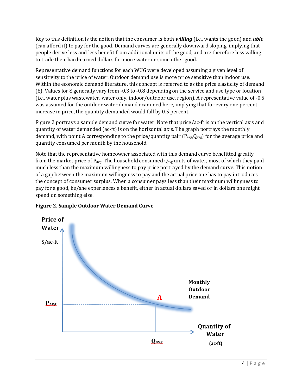Key to this definition is the notion that the consumer is both *willing* (i.e., wants the good) and *able* (can afford it) to pay for the good. Demand curves are generally downward sloping, implying that people derive less and less benefit from additional units of the good, and are therefore less willing to trade their hard-earned dollars for more water or some other good.

Representative demand functions for each WUG were developed assuming a given level of sensitivity to the price of water. Outdoor demand use is more price sensitive than indoor use. Within the economic demand literature, this concept is referred to as the price elasticity of demand (Ɛ). Values for Ɛ generally vary from -0.3 to -0.8 depending on the service and use type or location (i.e., water plus wastewater, water only, indoor/outdoor use, region). A representative value of -0.5 was assumed for the outdoor water demand examined here, implying that for every one percent increase in price, the quantity demanded would fall by 0.5 percent.

Figure 2 portrays a sample demand curve for water. Note that price/ac-ft is on the vertical axis and quantity of water demanded (ac-ft) is on the horizontal axis. The graph portrays the monthly demand, with point A corresponding to the price/quantity pair  $(P_{\text{avg}}, Q_{\text{avg}})$  for the average price and quantity consumed per month by the household.

Note that the representative homeowner associated with this demand curve benefitted greatly from the market price of  $P_{avg}$ . The household consumed  $Q_{avg}$  units of water, most of which they paid much less than the maximum willingness to pay price portrayed by the demand curve. This notion of a gap between the maximum willingness to pay and the actual price one has to pay introduces the concept of consumer surplus. When a consumer pays less than their maximum willingness to pay for a good, he/she experiences a benefit, either in actual dollars saved or in dollars one might spend on something else.



### **Figure 2. Sample Outdoor Water Demand Curve**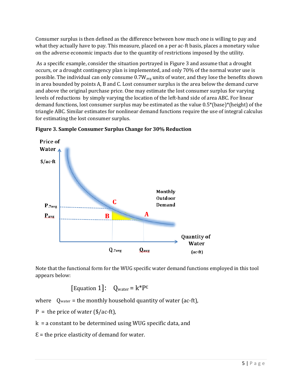Consumer surplus is then defined as the difference between how much one is willing to pay and what they actually have to pay. This measure, placed on a per ac-ft basis, places a monetary value on the adverse economic impacts due to the quantity of restrictions imposed by the utility.

As a specific example, consider the situation portrayed in Figure 3 and assume that a drought occurs, or a drought contingency plan is implemented, and only 70% of the normal water use is possible. The individual can only consume  $0.7W_{avg}$  units of water, and they lose the benefits shown in area bounded by points A, B and C. Lost consumer surplus is the area below the demand curve and above the original purchase price. One may estimate the lost consumer surplus for varying levels of reductions by simply varying the location of the left-hand side of area ABC. For linear demand functions, lost consumer surplus may be estimated as the value 0.5\*(base)\*(height) of the triangle ABC. Similar estimates for nonlinear demand functions require the use of integral calculus for estimating the lost consumer surplus.



**Figure 3. Sample Consumer Surplus Change for 30% Reduction**

Note that the functional form for the WUG specific water demand functions employed in this tool appears below:

$$
[Equation 1]: \quad Q_{water} = k^*P^{\varepsilon}
$$

where  $Q_{water}$  = the monthly household quantity of water (ac-ft),

 $P =$  the price of water (\$/ac-ft),

k = a constant to be determined using WUG specific data, and

 $E =$  the price elasticity of demand for water.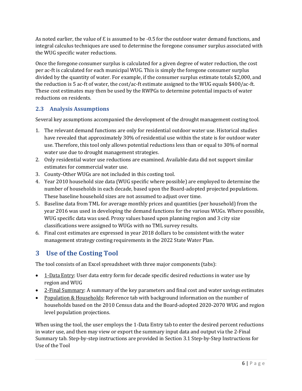As noted earlier, the value of  $\epsilon$  is assumed to be -0.5 for the outdoor water demand functions, and integral calculus techniques are used to determine the foregone consumer surplus associated with the WUG specific water reductions.

Once the foregone consumer surplus is calculated for a given degree of water reduction, the cost per ac-ft is calculated for each municipal WUG. This is simply the foregone consumer surplus divided by the quantity of water. For example, if the consumer surplus estimate totals \$2,000, and the reduction is 5 ac-ft of water, the cost/ac-ft estimate assigned to the WUG equals \$400/ac-ft. These cost estimates may then be used by the RWPGs to determine potential impacts of water reductions on residents.

### <span id="page-6-0"></span>**2.3 Analysis Assumptions**

Several key assumptions accompanied the development of the drought management costing tool.

- 1. The relevant demand functions are only for residential outdoor water use. Historical studies have revealed that approximately 30% of residential use within the state is for outdoor water use. Therefore, this tool only allows potential reductions less than or equal to 30% of normal water use due to drought management strategies.
- 2. Only residential water use reductions are examined. Available data did not support similar estimates for commercial water use.
- 3. County-Other WUGs are not included in this costing tool.
- 4. Year 2010 household size data (WUG specific where possible) are employed to determine the number of households in each decade, based upon the Board-adopted projected populations. These baseline household sizes are not assumed to adjust over time.
- 5. Baseline data from TML for average monthly prices and quantities (per household) from the year 2016 was used in developing the demand functions for the various WUGs. Where possible, WUG specific data was used. Proxy values based upon planning region and 3 city size classifications were assigned to WUGs with no TML survey results.
- 6. Final cost estimates are expressed in year 2018 dollars to be consistent with the water management strategy costing requirements in the 2022 State Water Plan.

# <span id="page-6-1"></span>**3 Use of the Costing Tool**

The tool consists of an Excel spreadsheet with three major components (tabs):

- 1-Data Entry: User data entry form for decade specific desired reductions in water use by region and WUG
- 2-Final Summary: A summary of the key parameters and final cost and water savings estimates
- Population & Households: Reference tab with background information on the number of households based on the 2010 Census data and the Board-adopted 2020-2070 WUG and region level population projections.

When using the tool, the user employs the 1-Data Entry tab to enter the desired percent reductions in water use, and then may view or export the summary input data and output via the 2-Final Summary tab. Step-by-step instructions are provided in Section 3.1 Step-by-Step Instructions for Use of the Tool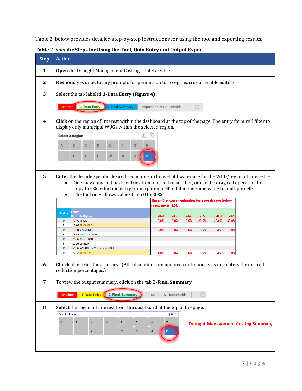Table 2 below provides detailed step-by-step instructions for using the tool and exporting results.

| <b>Step</b>  | <b>Action</b>                                                                                                                                                                                                                                                                                                                                                                                                                                             |  |  |  |  |  |  |  |  |  |  |  |  |  |
|--------------|-----------------------------------------------------------------------------------------------------------------------------------------------------------------------------------------------------------------------------------------------------------------------------------------------------------------------------------------------------------------------------------------------------------------------------------------------------------|--|--|--|--|--|--|--|--|--|--|--|--|--|
| 1            | Open the Drought Management Costing Tool Excel file                                                                                                                                                                                                                                                                                                                                                                                                       |  |  |  |  |  |  |  |  |  |  |  |  |  |
| $\mathbf{2}$ | <b>Respond</b> yes or ok to any prompts for permission to accept macros or enable editing                                                                                                                                                                                                                                                                                                                                                                 |  |  |  |  |  |  |  |  |  |  |  |  |  |
| 3            | Select the tab labeled 1-Data Entry (Figure 4)                                                                                                                                                                                                                                                                                                                                                                                                            |  |  |  |  |  |  |  |  |  |  |  |  |  |
|              | 1-Data Entry 2-Final Summary<br>Readme<br>Population & Households<br>$^{\circledR}$                                                                                                                                                                                                                                                                                                                                                                       |  |  |  |  |  |  |  |  |  |  |  |  |  |
| 4            | <b>Click</b> on the region of interest within the dashboard at the top of the page. The entry form will filter to<br>display only municipal WUGs within the selected region.                                                                                                                                                                                                                                                                              |  |  |  |  |  |  |  |  |  |  |  |  |  |
|              | <b>Select a Region</b><br>犵                                                                                                                                                                                                                                                                                                                                                                                                                               |  |  |  |  |  |  |  |  |  |  |  |  |  |
|              | н<br>с<br>G<br>Ð                                                                                                                                                                                                                                                                                                                                                                                                                                          |  |  |  |  |  |  |  |  |  |  |  |  |  |
|              | O                                                                                                                                                                                                                                                                                                                                                                                                                                                         |  |  |  |  |  |  |  |  |  |  |  |  |  |
|              |                                                                                                                                                                                                                                                                                                                                                                                                                                                           |  |  |  |  |  |  |  |  |  |  |  |  |  |
| 5            | <b>Enter</b> the decade specific desired reductions in household water use for the WUG/region of interest. -<br>One may copy and paste entries from one cell to another, or use the drag cell operation to<br>$\bullet$<br>copy the % reduction entry from a parent cell to fill in the same value to multiple cells.<br>The tool only allows values from 0 to 30%.<br>$\bullet$<br>Enter % of water reduction for each decade below<br>(between 0 - 30%) |  |  |  |  |  |  |  |  |  |  |  |  |  |
|              | <b>Entity</b><br><b>Region</b>                                                                                                                                                                                                                                                                                                                                                                                                                            |  |  |  |  |  |  |  |  |  |  |  |  |  |
|              | EntityName<br>2020<br>2030<br>2040<br>2050<br>2060<br>2070<br>5.0%<br>10.0%<br>15.0%<br>20.0%<br>25.0%<br>30.0%<br><b>745 EDNA</b><br>P                                                                                                                                                                                                                                                                                                                   |  |  |  |  |  |  |  |  |  |  |  |  |  |
|              | 746 EL CAMPO<br>P<br>5.0%<br>5.0%<br>5.0%<br>5.0%<br>5.0%<br>5.0%<br>P<br>828 GANADO                                                                                                                                                                                                                                                                                                                                                                      |  |  |  |  |  |  |  |  |  |  |  |  |  |
|              | P<br>875 HALLETTSVILLE                                                                                                                                                                                                                                                                                                                                                                                                                                    |  |  |  |  |  |  |  |  |  |  |  |  |  |
|              | P<br>2086 MOULTON<br>P<br>2356 SHINER                                                                                                                                                                                                                                                                                                                                                                                                                     |  |  |  |  |  |  |  |  |  |  |  |  |  |
|              | P<br>6596 WHARTON COUNTY WCID 1<br>P<br>2652 YOAKUM<br>1.0%<br>2.0%<br>3.0%<br>4.0%<br>5.0%<br>5.0%                                                                                                                                                                                                                                                                                                                                                       |  |  |  |  |  |  |  |  |  |  |  |  |  |
| 6            | Check all entries for accuracy. (All calculations are updated continuously as one enters the desired                                                                                                                                                                                                                                                                                                                                                      |  |  |  |  |  |  |  |  |  |  |  |  |  |
|              | reduction percentages.)                                                                                                                                                                                                                                                                                                                                                                                                                                   |  |  |  |  |  |  |  |  |  |  |  |  |  |
| 7            | To view the output summary, click on the tab 2-Final Summary                                                                                                                                                                                                                                                                                                                                                                                              |  |  |  |  |  |  |  |  |  |  |  |  |  |
|              | 1-Data Entry<br><b>2-Final Summary</b><br>Population & Households<br>$\bigoplus$<br>Readme                                                                                                                                                                                                                                                                                                                                                                |  |  |  |  |  |  |  |  |  |  |  |  |  |
|              |                                                                                                                                                                                                                                                                                                                                                                                                                                                           |  |  |  |  |  |  |  |  |  |  |  |  |  |
| 8            | Select the region of interest from the dashboard at the top of the page.<br>ジョ マス<br><b>Select a Region</b>                                                                                                                                                                                                                                                                                                                                               |  |  |  |  |  |  |  |  |  |  |  |  |  |
|              | B<br>$\mathbf{C}$<br>D<br>E<br>F<br>G<br>н<br>A                                                                                                                                                                                                                                                                                                                                                                                                           |  |  |  |  |  |  |  |  |  |  |  |  |  |
|              | <b>Drought Management Costing Summary</b><br>ĸ<br>o<br>J.<br>${\sf M}$<br>N<br>L.                                                                                                                                                                                                                                                                                                                                                                         |  |  |  |  |  |  |  |  |  |  |  |  |  |
|              |                                                                                                                                                                                                                                                                                                                                                                                                                                                           |  |  |  |  |  |  |  |  |  |  |  |  |  |
|              |                                                                                                                                                                                                                                                                                                                                                                                                                                                           |  |  |  |  |  |  |  |  |  |  |  |  |  |
|              |                                                                                                                                                                                                                                                                                                                                                                                                                                                           |  |  |  |  |  |  |  |  |  |  |  |  |  |

**Table 2. Specific Steps for Using the Tool, Data Entry and Output Export**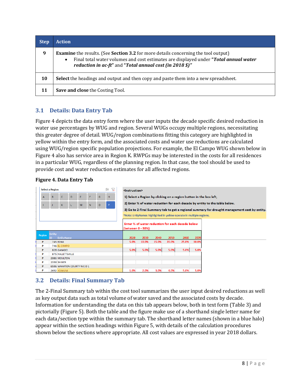| <b>Step</b> | Action                                                                                                                                                                                                                                                             |
|-------------|--------------------------------------------------------------------------------------------------------------------------------------------------------------------------------------------------------------------------------------------------------------------|
| 9           | <b>Examine</b> the results. (See <b>Section 3.2</b> for more details concerning the tool output)<br>Final total water volumes and cost estimates are displayed under "Total annual water"<br>$\bullet$<br>reduction in ac-ft" and "Total annual cost (in 2018 \$)" |
| 10          | <b>Select</b> the headings and output and then copy and paste them into a new spreadsheet.                                                                                                                                                                         |
| 11          | Save and close the Costing Tool.                                                                                                                                                                                                                                   |

### <span id="page-8-0"></span>**3.1 Details: Data Entry Tab**

Figure 4 depicts the data entry form where the user inputs the decade specific desired reduction in water use percentages by WUG and region. Several WUGs occupy multiple regions, necessitating this greater degree of detail. WUG/region combinations fitting this category are highlighted in yellow within the entry form, and the associated costs and water use reductions are calculated using WUG/region specific population projections. For example, the El Campo WUG shown below in Figure 4 also has service area in Region K. RWPGs may be interested in the costs for all residences in a particular WUG, regardless of the planning region. In that case, the tool should be used to provide cost and water reduction estimates for all affected regions.

#### **Figure 4. Data Entry Tab**



### <span id="page-8-1"></span>**3.2 Details: Final Summary Tab**

The 2-Final Summary tab within the cost tool summarizes the user input desired reductions as well as key output data such as total volume of water saved and the associated costs by decade. Information for understanding the data on this tab appears below, both in text form (Table 3) and pictorially (Figure 5). Both the table and the figure make use of a shorthand single letter name for each data/section type within the summary tab. The shorthand letter names (shown in a blue halo) appear within the section headings within Figure 5, with details of the calculation procedures shown below the sections where appropriate. All cost values are expressed in year 2018 dollars.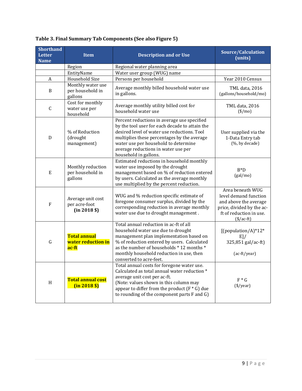| <b>Shorthand</b><br>Letter<br><b>Name</b> | <b>Item</b>                                        | <b>Description and or Use</b>                                                                                                                                                                                                                                                                       | Source/Calculation<br>(units)                                                                                                              |
|-------------------------------------------|----------------------------------------------------|-----------------------------------------------------------------------------------------------------------------------------------------------------------------------------------------------------------------------------------------------------------------------------------------------------|--------------------------------------------------------------------------------------------------------------------------------------------|
|                                           | Region                                             | Regional water planning area                                                                                                                                                                                                                                                                        |                                                                                                                                            |
|                                           | EntityName                                         | Water user group (WUG) name                                                                                                                                                                                                                                                                         |                                                                                                                                            |
| $\boldsymbol{A}$                          | Household Size                                     | Persons per household                                                                                                                                                                                                                                                                               | Year 2010 Census                                                                                                                           |
| $\, {\bf B}$                              | Monthly water use<br>per household in<br>gallons   | Average monthly billed household water use<br>in gallons.                                                                                                                                                                                                                                           | TML data, 2016<br>(gallons/household/mo)                                                                                                   |
| $\mathsf C$                               | Cost for monthly<br>water use per<br>household     | Average monthly utility billed cost for<br>household water use                                                                                                                                                                                                                                      | TML data, 2016<br>$(\$/mo)$                                                                                                                |
| D                                         | % of Reduction<br>(drought<br>management)          | Percent reductions in average use specified<br>by the tool user for each decade to attain the<br>desired level of water use reductions. Tool<br>multiplies these percentages by the average<br>water use per household to determine<br>average reductions in water use per<br>household in gallons. | User supplied via the<br>1-Data Entry tab<br>(%, by decade)                                                                                |
| E                                         | Monthly reduction<br>per household in<br>gallons   | Estimated reductions in household monthly<br>water use imposed by the drought<br>management based on % of reduction entered<br>by users. Calculated as the average monthly<br>use multiplied by the percent reduction.                                                                              | $B^*D$<br>(gal/mo)                                                                                                                         |
| F                                         | Average unit cost<br>per acre-foot<br>$(in 2018 \$ | WUG and % reduction specific estimate of<br>foregone consumer surplus, divided by the<br>corresponding reduction in average monthly<br>water use due to drought management.                                                                                                                         | Area beneath WUG<br>level demand function<br>and above the average<br>price, divided by the ac-<br>ft of reduction in use.<br>$(\$/ac-ft)$ |
| ${\bf G}$                                 | <b>Total annual</b><br>water reduction in<br>ac-ft | Total annual reduction in ac-ft of all<br>household water use due to drought<br>management plan implementation based on<br>% of reduction entered by users. Calculated<br>as the number of households * 12 months *<br>monthly household reduction in use, then<br>converted to acre-feet.          | [(population/A)*12*<br>E]/<br>325,851 gal/ac-ft)<br>(ac-ft/year)                                                                           |
| H                                         | <b>Total annual cost</b><br>$(in 2018 \$           | Total annual costs for foregone water use.<br>Calculated as total annual water reduction *<br>average unit cost per ac-ft.<br>(Note: values shown in this column may<br>appear to differ from the product $(F * G)$ due<br>to rounding of the component parts F and G)                              | $F * G$<br>$(\$/year)$                                                                                                                     |

### **Table 3. Final Summary Tab Components (See also Figure 5)**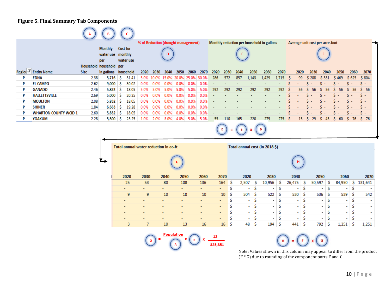#### **Figure 5. Final Summary Tab Components**

|   |                              |             |                                     |                              |       |      |      |      |      | % of Reduction (drought management) |      | Monthly reduction per household in gallons |      |        |                          |       |                | Average unit cost per acre-foot |      |          |        |           |                     |            |
|---|------------------------------|-------------|-------------------------------------|------------------------------|-------|------|------|------|------|-------------------------------------|------|--------------------------------------------|------|--------|--------------------------|-------|----------------|---------------------------------|------|----------|--------|-----------|---------------------|------------|
|   |                              |             | Monthly<br>water use monthly<br>per | <b>Cost for</b><br>water use |       |      | D.   |      |      |                                     |      |                                            |      |        |                          |       |                |                                 |      |          |        |           |                     |            |
|   |                              |             | Household household per             |                              |       |      |      |      |      |                                     |      |                                            |      |        |                          |       |                |                                 |      |          |        |           |                     |            |
|   | Region T Entity Name         | <b>Size</b> | in gallons household                |                              |       | 2020 | 2030 | 2040 | 2050 | 2060                                | 2070 | 2020                                       | 2030 | 2040   | 2050                     | 2060  | 2070           |                                 | 2020 | 2030     | 2040   | 2050      | 2060                | 2070       |
|   | <b>EDNA</b>                  | 2.38        | 5,716                               | -S                           | 31.41 |      |      |      |      | 5.0% 10.0% 15.0% 20.0% 25.0% 30.0%  |      | 286                                        | 572  | -857   | 1,143                    | 1,429 | 1,715          | - 5                             | -99  | \$ 208   | \$331  | S 469     | \$625               | \$804      |
|   | <b>EL CAMPO</b>              | 2.62        | $9,000$ \$                          |                              | 30.02 | 0.0% | 0.0% | 0.0% | 0.0% | 0.0%                                | 0.0% |                                            |      |        |                          |       |                |                                 |      | $S -$    | $S -$  | $S -$     | $S -$               | $S -$      |
| P | <b>GANADO</b>                | 2.46        | $5,832$ \$                          |                              | 18.05 | 5.0% | 5.0% | 5.0% | 5.0% | 5.0%                                | 5.0% | 292                                        | 292  | 292    | 292                      | 292   | 292            |                                 | 56   | -56      | -56    | -56<br>S. | -56<br>s.           | $5\quad56$ |
| P | <b>HALLETTSVILLE</b>         | 2.69        | $5,000$ \$                          |                              | 20.25 | 0.0% | 0.0% | 0.0% | 0.0% | 0.0%                                | 0.0% | $\sim$                                     |      |        | $\overline{\phantom{a}}$ |       | $\sim$         |                                 |      | $S -$    | $\sim$ | $S -$     | $S -$               | $S -$      |
|   | <b>MOULTON</b>               | 2.08        | $5,832$ $\sqrt{5}$                  |                              | 18.05 | 0.0% | 0.0% | 0.0% | 0.0% | 0.0%                                | 0.0% |                                            |      |        |                          |       | $\sim$         |                                 |      | $S -$    | $\sim$ | $S -$     | $S -$               | $S -$      |
|   | <b>SHINER</b>                | 1.84        | $6,663$ \$                          |                              | 19.28 | 0.0% | 0.0% | 0.0% | 0.0% | 0.0%                                | 0.0% |                                            |      |        |                          |       | $\blacksquare$ |                                 |      | $S -$    | $\sim$ | $S -$     | $S -$               | $S -$      |
|   | <b>WHARTON COUNTY WCID 1</b> | 2.60        | $5,832$ $\sqrt{5}$                  |                              | 18.05 | 0.0% | 0.0% | 0.0% | 0.0% | 0.0%                                | 0.0% |                                            |      | $\sim$ | $\sim$                   |       | $\sim$         |                                 |      | $S -$    | $S -$  | $S -$     | $S -$               | $S -$      |
|   | <b>YOAKUM</b>                | 2.28        | $5,500$ \$                          |                              | 23.25 | 1.0% | 2.0% | 3.0% | 4.0% | 5.0%                                | 5.0% | -55                                        | 110  | 165    | 220                      | 275   | 275S           |                                 |      | 15 \$ 29 |        |           | S 45 S 60 S 76 S 76 |            |
|   |                              |             |                                     |                              |       |      |      |      |      |                                     |      |                                            | $=$  |        |                          | Ð     |                |                                 |      |          |        |           |                     |            |

|   | Total annual water reduction in ac-ft |      |                          |                |                          |        | Total annual cost (in 2018 \$) |                          |    |                          |    |                          |   |                          |    |                          |    |                          |
|---|---------------------------------------|------|--------------------------|----------------|--------------------------|--------|--------------------------------|--------------------------|----|--------------------------|----|--------------------------|---|--------------------------|----|--------------------------|----|--------------------------|
| ┶ | G                                     |      |                          |                |                          |        |                                |                          |    |                          |    | н                        |   |                          |    |                          |    |                          |
|   | 2020                                  | 2030 | 2040                     | 2050           | 2060                     | 2070   |                                | 2020                     |    | 2030                     |    | 2040                     |   | 2050                     |    | 2060                     |    | 2070                     |
|   | 25                                    | 53   | 80                       | 108            | 136                      | 164    | - \$                           | 2,507                    | s  | 10,956                   | s  | 26,475                   | s | 50,597                   | s. | 84,950                   | S. | 131,641                  |
|   | $\overline{\phantom{a}}$              |      | $\overline{\phantom{a}}$ | $\blacksquare$ | $\overline{\phantom{a}}$ | $\sim$ | Ŝ                              | $\sim$                   | Ś  | ٠                        | Ś  | $\sim$                   | s | $\overline{\phantom{a}}$ | s  | $\sim$                   | s  |                          |
|   | 9                                     | 9    | 10                       | 10             | 10                       | 10     | -S                             | 504                      | Ś  | 522                      | \$ | 530                      | S | 536                      | Ś  | 539                      | s  | 542                      |
|   | $\overline{\phantom{a}}$              |      |                          | -              | ۰                        | $\sim$ | Ś                              | $\sim$                   | Ś  | $\sim$                   | Ś  | $\overline{\phantom{a}}$ | Ś | $\overline{\phantom{a}}$ | Ś  | ٠                        | Ś  | $\overline{\phantom{a}}$ |
|   | $\overline{\phantom{a}}$              |      |                          | -              | ۰                        | $\sim$ | \$                             | $\sim$                   | \$ | $\sim$                   | \$ | $\overline{\phantom{a}}$ |   | $\overline{\phantom{a}}$ | S  | ٠                        | s  |                          |
|   | $\overline{\phantom{a}}$              |      | -                        | -              | $\overline{\phantom{0}}$ | $\sim$ | Ś                              | $\sim$                   | Ŝ  | $\overline{\phantom{a}}$ | Ś  | $\sim$                   | Ś | $\overline{\phantom{a}}$ | Ś  | ٠                        | s  | $\overline{\phantom{a}}$ |
|   | $\overline{\phantom{a}}$              |      | -                        |                | ۰                        | $\sim$ | Ś                              | $\overline{\phantom{a}}$ | Ś  | $\overline{\phantom{a}}$ | Ś  | $\overline{\phantom{a}}$ |   | $\overline{\phantom{a}}$ |    | $\overline{\phantom{a}}$ | s  |                          |
|   | 3                                     | 7    | 10                       | 13             | 16                       | 16     | \$                             | 48                       | Ś  | 194                      | s  | 441                      | S | 792                      | Ś  | 1,251                    | s  | 1,251                    |

$$
\circled{1} = \text{Population} \times \text{r} \times \text{r} \times \text{r} \times \text{r} \times \text{r} \times \text{r} \times \text{r} \times \text{r} \times \text{r} \times \text{r} \times \text{r} \times \text{r} \times \text{r} \times \text{r} \times \text{r} \times \text{r} \times \text{r} \times \text{r} \times \text{r} \times \text{r} \times \text{r} \times \text{r} \times \text{r} \times \text{r} \times \text{r} \times \text{r} \times \text{r} \times \text{r} \times \text{r} \times \text{r} \times \text{r} \times \text{r} \times \text{r} \times \text{r} \times \text{r} \times \text{r} \times \text{r} \times \text{r} \times \text{r} \times \text{r} \times \text{r} \times \text{r} \times \text{r} \times \text{r} \times \text{r} \times \text{r} \times \text{r} \times \text{r} \times \text{r} \times \text{r} \times \text{r} \times \text{r} \times \text{r} \times \text{r} \times \text{r} \times \text{r} \times \text{r} \times \text{r} \times \text{r} \times \text{r} \times \text{r} \times \text{r} \times \text{r} \times \text{r} \times \text{r} \times \text{r} \times \text{r} \times \text{r} \times \text{r} \times \text{r} \times \text{r} \times \text{r} \times \text{r} \times \text{r} \times \text{r} \times \text{r} \times \text{r} \times \text{r} \times \text{r} \times \text{r} \times \text{r} \times \text{r} \times \text{r} \times \text{r} \times \text{r} \times \text{r} \times \text{r} \times \text{r} \times \text{r} \times \text{r} \times \text{r} \times \text{r} \times \text{r} \times \text{r} \times \text{r} \times \text{r} \times \text{r} \times \text{r} \times \text{r} \times \text{r} \times \text{r} \times \text{r} \times \text{r} \times \text{r} \times \text{r} \times \text{r} \times \text{r
$$

 $\left(\begin{matrix} H \\ H \end{matrix}\right) = \left(\begin{matrix} F \\ H \end{matrix}\right) \times \left(\begin{matrix} G \\ H \end{matrix}\right)$ 

Note: Values shown in this column may appear to differ from the product (F \* G) due to rounding of the component parts F and G.